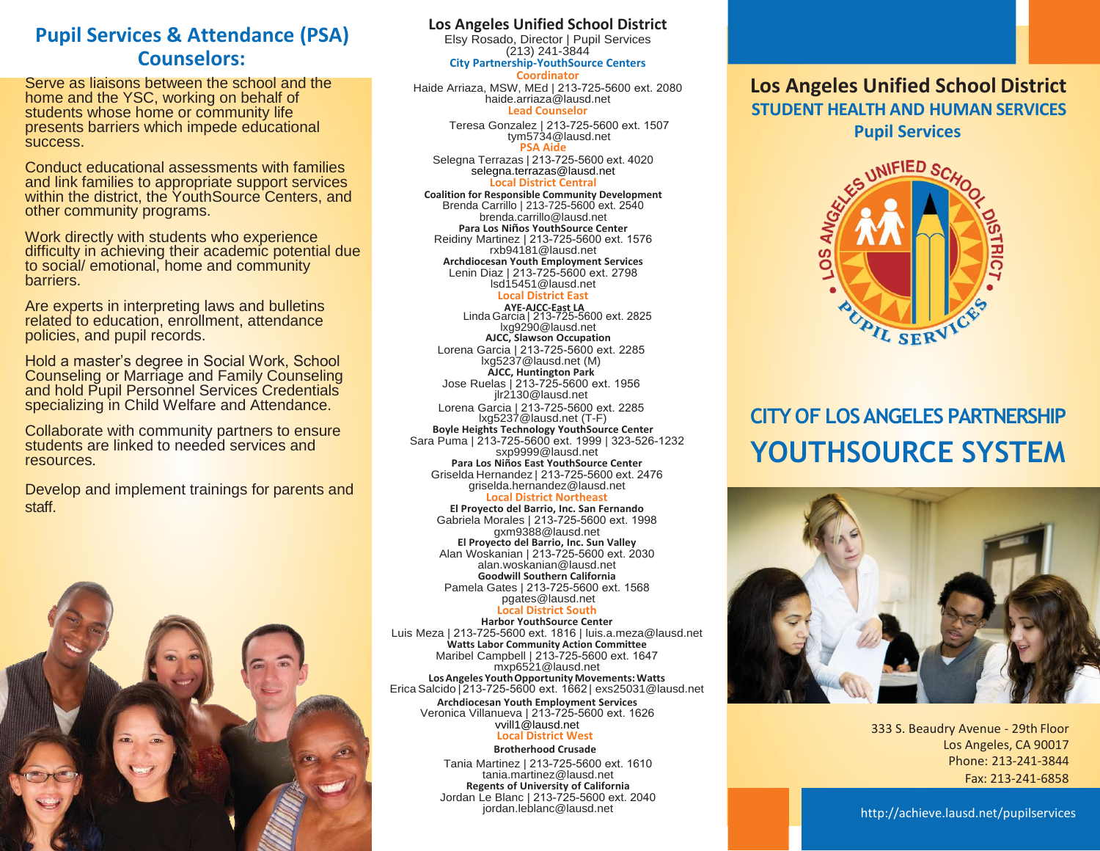## **Pupil Services & Attendance (PSA) Counselors:**

Serve as liaisons between the school and the home and the YSC, working on behalf of students whose home or community life presents barriers which impede educational success.

Conduct educational assessments with families and link families to appropriate support services within the district, the YouthSource Centers, and other community programs.

Work directly with students who experience difficulty in achieving their academic potential due to social/ emotional, home and community barriers.

Are experts in interpreting laws and bulletins related to education, enrollment, attendance policies, and pupil records.

Hold a master's degree in Social Work, School Counseling or Marriage and Family Counseling and hold Pupil Personnel Services Credentials specializing in Child Welfare and Attendance.

Collaborate with community partners to ensure students are linked to needed services and resources.

Develop and implement trainings for parents and staff.



## **Los Angeles Unified School District**

Elsy Rosado, Director | Pupil Services (213) 241-3844

#### **City Partnership-YouthSource Centers Coordinator**

Haide Arriaza, MSW, MEd | 213-725-5600 ext. 2080 haide.arriaza@lausd.net **Lead Counselor**

> Teresa Gonzalez | [213-725-5600](mailto:haide.arriaza@lausd.net) ext. 1507 tym5734@lausd.net **PSA Aide**

Selegna Terrazas | 213-725-5600 ext. 4020 selegna.terrazas@lausd.net **Local District C[entral](mailto:selegna.terrazas@lausd.net)**

**Coalition for Responsible Community Development** Brenda Carrillo | 213-725-5600 ext. 2540 brenda.carrillo@lausd.net **Para Los Niños YouthSource Center** Reidiny Martinez | 213-725-5600 ext. 1576 rxb94181@lausd.net **Archdiocesan Youth Employment Services** Lenin Diaz | 213-725-5600 ext. 2798 lsd15451@lausd.net

#### **Local District [East](mailto:lsd15451@lausd.net)**

**AYE-AJCC-East LA**  Linda Garcia | 213-725-5[60](mailto:lxg9290@lausd.net)0 ext. 2825 lxg9290@lausd.net **AJCC, Slawson Occupation** Lorena Garcia | 213-725-5600 ext. 2285 lxg5237@lausd.net (M) **AJCC, Huntington Park** Jose Ruelas | 213-725-5600 ext. 1956 jlr2130@lausd.net

Lorena Garcia | 213-725-5600 ext. 2285 lxg5237@lausd.net (T-F) **Boyle Heights Technology YouthSource Center** Sara Puma | 213-725-5600 ext. 1999 | 323-526-[123](mailto:sxp9999@lausd.net)2 [sxp9999@lausd.ne](mailto:sxp9999@lausd.net)t **Para Los Niños East YouthSource Center** Griselda Hernandez | 213-725-5600 ext. 2476 [griselda.hernandez@lausd.net](mailto:griselda.hernandez@lausd.net) **Local District Northeast**

**El Proyecto del Barrio, Inc. San Fernando** Gabriela Morales | 213-725-5600 ext. 1998 gxm9388@lausd.net **El Proyecto del Barrio, Inc. Sun Valley** Alan Woskanian | 213-725-5600 ext. 2030 [alan.woskanian@lausd.net](mailto:alan.woskanian@lausd.net) **Goodwill Southern California** Pamela Gates | [213-725-5600 ext. 1568](mailto:pgates@lausd.net) pgates@lausd.net

### **Local District South**

**Harbor YouthSource Center** Luis Meza | 213-725-5600 ext. 1816 [| luis.a.meza@lausd.](mailto:luis.a.meza@lausd.net)net **Watts Labor Community Action Committee** Maribel Campbell | 213-725-5600 ext. 1647 mxp6521@lausd.net **LosAngeles Youth Opportunity Movements: Watts** Erica Salcido | [213-725-5600 ext. 1662](mailto:exs25031@lausd.net) [| exs25031@lausd.](mailto:exs25031@lausd.net)net

**Archdiocesan Youth Employment Services** Veronica Villanueva | 213-725-5600 ext. 1626 [vvill1@lausd.net](mailto:vvill1@lausd.ne) **Local District West**

### **Brotherhood Crusade**

Tania Martinez | 213-72[5-5600 ext. 1610](mailto:tania.martinez@lausd.net) tania.martinez@lausd.net **Regents of University of California** Jordan Le Blanc | 213-725-5600 ext. 2040

## **Los Angeles Unified School District STUDENT HEALTH AND HUMAN SERVICES Pupil Services**



# **CITY OF LOSANGELES PARTNERSHIP YOUTHSOURCE SYSTEM**



333 S. Beaudry Avenue - 29th Floor Los Angeles, CA 90017 Phone: 213-241-3844 Fax: 213-241-6858

<http://achieve.lausd.net/pupilservices>